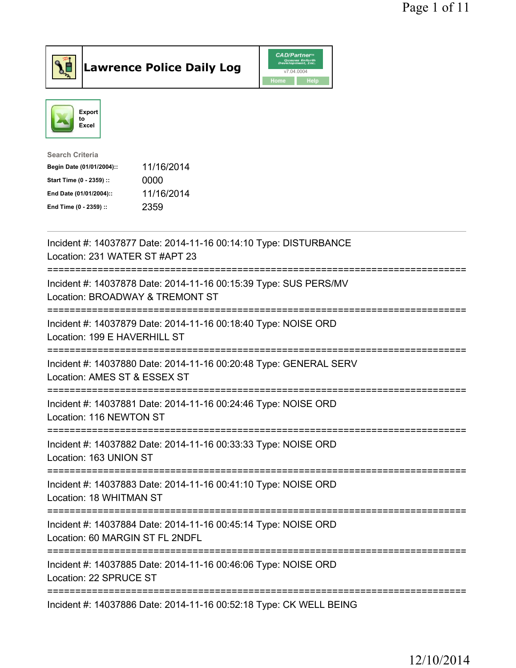

## $\vert$ Lawrence Police Daily Log

|      | <b>CAD/Partner</b> <sup>*</sup><br>Queues Enforth<br>Development, Inc. |
|------|------------------------------------------------------------------------|
|      | v7.04.0004                                                             |
| Home | Help                                                                   |



| Search Criteria           |            |
|---------------------------|------------|
| Begin Date (01/01/2004):: | 11/16/2014 |
| Start Time (0 - 2359) ::  | 0000       |
| End Date (01/01/2004)::   | 11/16/2014 |
| End Time (0 - 2359) ::    | 2359       |

| Incident #: 14037877 Date: 2014-11-16 00:14:10 Type: DISTURBANCE<br>Location: 231 WATER ST #APT 23                                          |
|---------------------------------------------------------------------------------------------------------------------------------------------|
| Incident #: 14037878 Date: 2014-11-16 00:15:39 Type: SUS PERS/MV<br>Location: BROADWAY & TREMONT ST                                         |
| Incident #: 14037879 Date: 2014-11-16 00:18:40 Type: NOISE ORD<br>Location: 199 E HAVERHILL ST<br>-----------                               |
| Incident #: 14037880 Date: 2014-11-16 00:20:48 Type: GENERAL SERV<br>Location: AMES ST & ESSEX ST<br>==========                             |
| Incident #: 14037881 Date: 2014-11-16 00:24:46 Type: NOISE ORD<br>Location: 116 NEWTON ST                                                   |
| Incident #: 14037882 Date: 2014-11-16 00:33:33 Type: NOISE ORD<br>Location: 163 UNION ST                                                    |
| :===================<br>Incident #: 14037883 Date: 2014-11-16 00:41:10 Type: NOISE ORD<br>Location: 18 WHITMAN ST<br>---------------------- |
| Incident #: 14037884 Date: 2014-11-16 00:45:14 Type: NOISE ORD<br>Location: 60 MARGIN ST FL 2NDFL                                           |
| Incident #: 14037885 Date: 2014-11-16 00:46:06 Type: NOISE ORD<br>Location: 22 SPRUCE ST                                                    |
| Incident #: 14037886 Date: 2014-11-16 00:52:18 Type: CK WELL BEING                                                                          |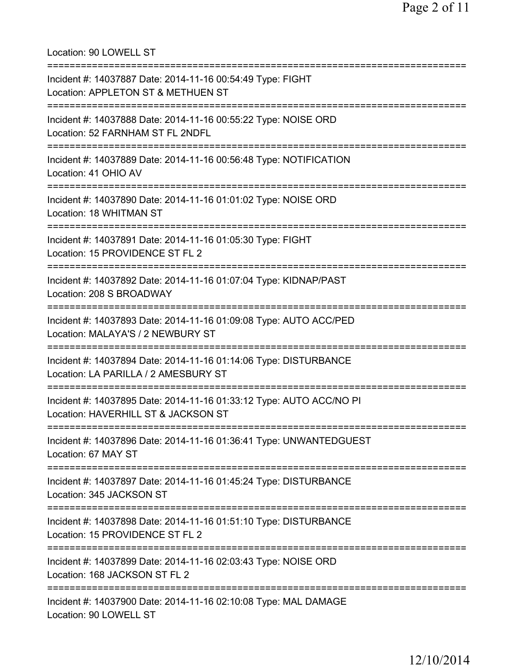Location: 90 LOWELL ST =========================================================================== Incident #: 14037887 Date: 2014-11-16 00:54:49 Type: FIGHT Location: APPLETON ST & METHUEN ST =========================================================================== Incident #: 14037888 Date: 2014-11-16 00:55:22 Type: NOISE ORD Location: 52 FARNHAM ST FL 2NDFL =========================================================================== Incident #: 14037889 Date: 2014-11-16 00:56:48 Type: NOTIFICATION Location: 41 OHIO AV =========================================================================== Incident #: 14037890 Date: 2014-11-16 01:01:02 Type: NOISE ORD Location: 18 WHITMAN ST =========================================================================== Incident #: 14037891 Date: 2014-11-16 01:05:30 Type: FIGHT Location: 15 PROVIDENCE ST FL 2 =========================================================================== Incident #: 14037892 Date: 2014-11-16 01:07:04 Type: KIDNAP/PAST Location: 208 S BROADWAY =========================================================================== Incident #: 14037893 Date: 2014-11-16 01:09:08 Type: AUTO ACC/PED Location: MALAYA'S / 2 NEWBURY ST =========================================================================== Incident #: 14037894 Date: 2014-11-16 01:14:06 Type: DISTURBANCE Location: LA PARILLA / 2 AMESBURY ST =========================================================================== Incident #: 14037895 Date: 2014-11-16 01:33:12 Type: AUTO ACC/NO PI Location: HAVERHILL ST & JACKSON ST =========================================================================== Incident #: 14037896 Date: 2014-11-16 01:36:41 Type: UNWANTEDGUEST Location: 67 MAY ST =========================================================================== Incident #: 14037897 Date: 2014-11-16 01:45:24 Type: DISTURBANCE Location: 345 JACKSON ST =========================================================================== Incident #: 14037898 Date: 2014-11-16 01:51:10 Type: DISTURBANCE Location: 15 PROVIDENCE ST FL 2 =========================================================================== Incident #: 14037899 Date: 2014-11-16 02:03:43 Type: NOISE ORD Location: 168 JACKSON ST FL 2 =========================================================================== Incident #: 14037900 Date: 2014-11-16 02:10:08 Type: MAL DAMAGE Location: 90 LOWELL ST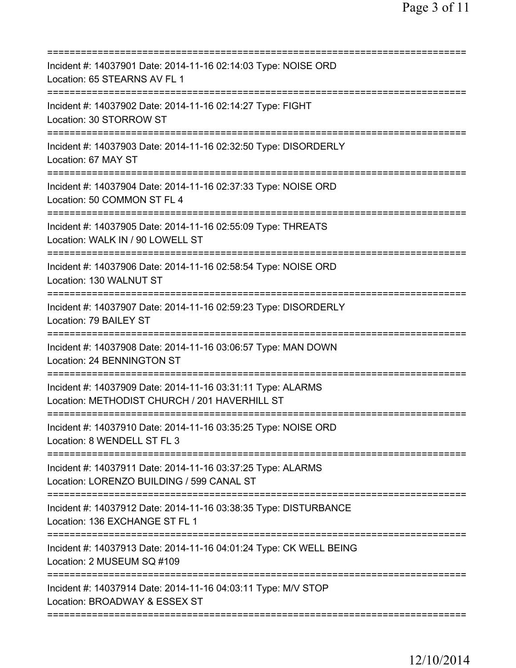| Incident #: 14037901 Date: 2014-11-16 02:14:03 Type: NOISE ORD<br>Location: 65 STEARNS AV FL 1                            |
|---------------------------------------------------------------------------------------------------------------------------|
| Incident #: 14037902 Date: 2014-11-16 02:14:27 Type: FIGHT<br>Location: 30 STORROW ST                                     |
| Incident #: 14037903 Date: 2014-11-16 02:32:50 Type: DISORDERLY<br>Location: 67 MAY ST                                    |
| Incident #: 14037904 Date: 2014-11-16 02:37:33 Type: NOISE ORD<br>Location: 50 COMMON ST FL 4                             |
| =====================<br>Incident #: 14037905 Date: 2014-11-16 02:55:09 Type: THREATS<br>Location: WALK IN / 90 LOWELL ST |
| =======================<br>Incident #: 14037906 Date: 2014-11-16 02:58:54 Type: NOISE ORD<br>Location: 130 WALNUT ST      |
| Incident #: 14037907 Date: 2014-11-16 02:59:23 Type: DISORDERLY<br>Location: 79 BAILEY ST                                 |
| Incident #: 14037908 Date: 2014-11-16 03:06:57 Type: MAN DOWN<br>Location: 24 BENNINGTON ST<br>===============            |
| Incident #: 14037909 Date: 2014-11-16 03:31:11 Type: ALARMS<br>Location: METHODIST CHURCH / 201 HAVERHILL ST              |
| Incident #: 14037910 Date: 2014-11-16 03:35:25 Type: NOISE ORD<br>Location: 8 WENDELL ST FL 3                             |
| Incident #: 14037911 Date: 2014-11-16 03:37:25 Type: ALARMS<br>Location: LORENZO BUILDING / 599 CANAL ST                  |
| Incident #: 14037912 Date: 2014-11-16 03:38:35 Type: DISTURBANCE<br>Location: 136 EXCHANGE ST FL 1                        |
| Incident #: 14037913 Date: 2014-11-16 04:01:24 Type: CK WELL BEING<br>Location: 2 MUSEUM SQ #109                          |
| Incident #: 14037914 Date: 2014-11-16 04:03:11 Type: M/V STOP<br>Location: BROADWAY & ESSEX ST                            |
|                                                                                                                           |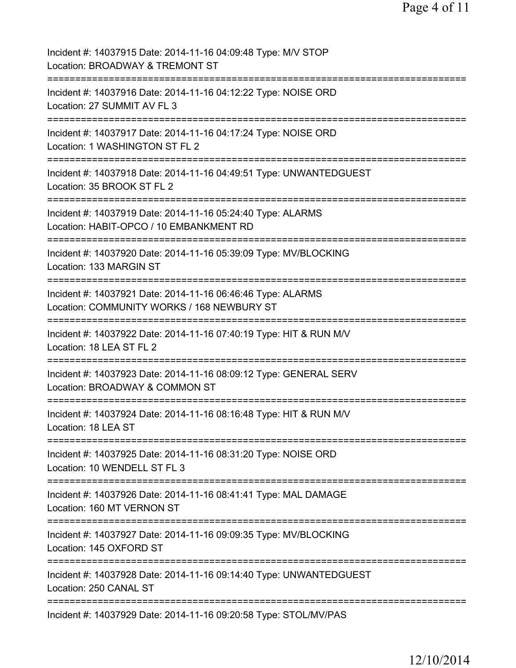| Incident #: 14037915 Date: 2014-11-16 04:09:48 Type: M/V STOP<br>Location: BROADWAY & TREMONT ST                           |
|----------------------------------------------------------------------------------------------------------------------------|
| Incident #: 14037916 Date: 2014-11-16 04:12:22 Type: NOISE ORD<br>Location: 27 SUMMIT AV FL 3                              |
| Incident #: 14037917 Date: 2014-11-16 04:17:24 Type: NOISE ORD<br>Location: 1 WASHINGTON ST FL 2                           |
| Incident #: 14037918 Date: 2014-11-16 04:49:51 Type: UNWANTEDGUEST<br>Location: 35 BROOK ST FL 2                           |
| Incident #: 14037919 Date: 2014-11-16 05:24:40 Type: ALARMS<br>Location: HABIT-OPCO / 10 EMBANKMENT RD                     |
| Incident #: 14037920 Date: 2014-11-16 05:39:09 Type: MV/BLOCKING<br>Location: 133 MARGIN ST                                |
| Incident #: 14037921 Date: 2014-11-16 06:46:46 Type: ALARMS<br>Location: COMMUNITY WORKS / 168 NEWBURY ST                  |
| Incident #: 14037922 Date: 2014-11-16 07:40:19 Type: HIT & RUN M/V<br>Location: 18 LEA ST FL 2                             |
| ===================<br>Incident #: 14037923 Date: 2014-11-16 08:09:12 Type: GENERAL SERV<br>Location: BROADWAY & COMMON ST |
| Incident #: 14037924 Date: 2014-11-16 08:16:48 Type: HIT & RUN M/V<br>Location: 18 LEA ST                                  |
| Incident #: 14037925 Date: 2014-11-16 08:31:20 Type: NOISE ORD<br>Location: 10 WENDELL ST FL 3                             |
| Incident #: 14037926 Date: 2014-11-16 08:41:41 Type: MAL DAMAGE<br>Location: 160 MT VERNON ST                              |
| Incident #: 14037927 Date: 2014-11-16 09:09:35 Type: MV/BLOCKING<br>Location: 145 OXFORD ST                                |
| Incident #: 14037928 Date: 2014-11-16 09:14:40 Type: UNWANTEDGUEST<br>Location: 250 CANAL ST                               |
| ======================================<br>Incident #: 14037929 Date: 2014-11-16 09:20:58 Type: STOL/MV/PAS                 |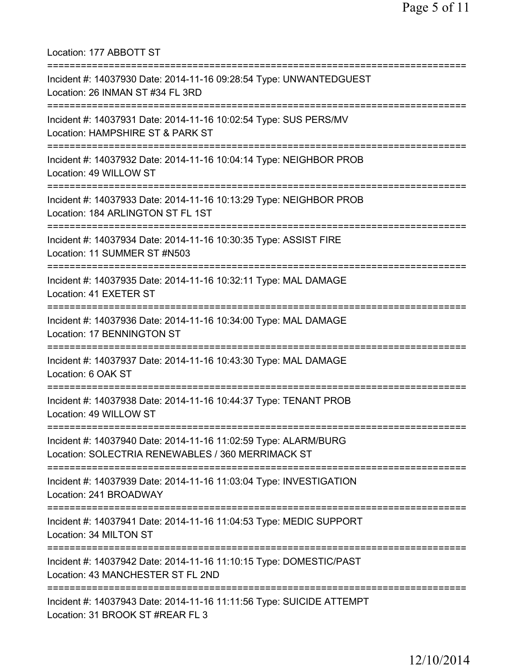Location: 177 ABBOTT ST =========================================================================== Incident #: 14037930 Date: 2014-11-16 09:28:54 Type: UNWANTEDGUEST Location: 26 INMAN ST #34 FL 3RD =========================================================================== Incident #: 14037931 Date: 2014-11-16 10:02:54 Type: SUS PERS/MV Location: HAMPSHIRE ST & PARK ST =========================================================================== Incident #: 14037932 Date: 2014-11-16 10:04:14 Type: NEIGHBOR PROB Location: 49 WILLOW ST =========================================================================== Incident #: 14037933 Date: 2014-11-16 10:13:29 Type: NEIGHBOR PROB Location: 184 ARLINGTON ST FL 1ST =========================================================================== Incident #: 14037934 Date: 2014-11-16 10:30:35 Type: ASSIST FIRE Location: 11 SUMMER ST #N503 =========================================================================== Incident #: 14037935 Date: 2014-11-16 10:32:11 Type: MAL DAMAGE Location: 41 EXETER ST =========================================================================== Incident #: 14037936 Date: 2014-11-16 10:34:00 Type: MAL DAMAGE Location: 17 BENNINGTON ST =========================================================================== Incident #: 14037937 Date: 2014-11-16 10:43:30 Type: MAL DAMAGE Location: 6 OAK ST =========================================================================== Incident #: 14037938 Date: 2014-11-16 10:44:37 Type: TENANT PROB Location: 49 WILLOW ST =========================================================================== Incident #: 14037940 Date: 2014-11-16 11:02:59 Type: ALARM/BURG Location: SOLECTRIA RENEWABLES / 360 MERRIMACK ST =========================================================================== Incident #: 14037939 Date: 2014-11-16 11:03:04 Type: INVESTIGATION Location: 241 BROADWAY =========================================================================== Incident #: 14037941 Date: 2014-11-16 11:04:53 Type: MEDIC SUPPORT Location: 34 MILTON ST =========================================================================== Incident #: 14037942 Date: 2014-11-16 11:10:15 Type: DOMESTIC/PAST Location: 43 MANCHESTER ST FL 2ND =========================================================================== Incident #: 14037943 Date: 2014-11-16 11:11:56 Type: SUICIDE ATTEMPT Location: 31 BROOK ST #REAR FL 3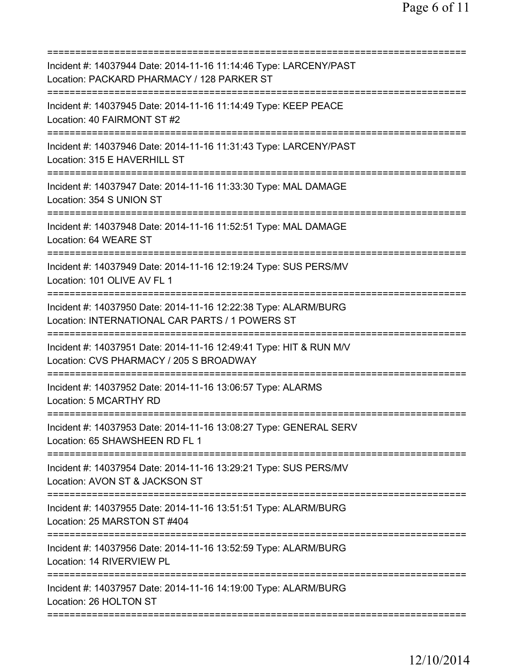| =====================================                                                                                               |
|-------------------------------------------------------------------------------------------------------------------------------------|
| Incident #: 14037944 Date: 2014-11-16 11:14:46 Type: LARCENY/PAST<br>Location: PACKARD PHARMACY / 128 PARKER ST                     |
| Incident #: 14037945 Date: 2014-11-16 11:14:49 Type: KEEP PEACE<br>Location: 40 FAIRMONT ST #2                                      |
| Incident #: 14037946 Date: 2014-11-16 11:31:43 Type: LARCENY/PAST<br>Location: 315 E HAVERHILL ST                                   |
| Incident #: 14037947 Date: 2014-11-16 11:33:30 Type: MAL DAMAGE<br>Location: 354 S UNION ST                                         |
| Incident #: 14037948 Date: 2014-11-16 11:52:51 Type: MAL DAMAGE<br>Location: 64 WEARE ST                                            |
| Incident #: 14037949 Date: 2014-11-16 12:19:24 Type: SUS PERS/MV<br>Location: 101 OLIVE AV FL 1                                     |
| :============<br>Incident #: 14037950 Date: 2014-11-16 12:22:38 Type: ALARM/BURG<br>Location: INTERNATIONAL CAR PARTS / 1 POWERS ST |
| Incident #: 14037951 Date: 2014-11-16 12:49:41 Type: HIT & RUN M/V<br>Location: CVS PHARMACY / 205 S BROADWAY                       |
| Incident #: 14037952 Date: 2014-11-16 13:06:57 Type: ALARMS<br>Location: 5 MCARTHY RD                                               |
| Incident #: 14037953 Date: 2014-11-16 13:08:27 Type: GENERAL SERV<br>Location: 65 SHAWSHEEN RD FL 1                                 |
| Incident #: 14037954 Date: 2014-11-16 13:29:21 Type: SUS PERS/MV<br>Location: AVON ST & JACKSON ST                                  |
| Incident #: 14037955 Date: 2014-11-16 13:51:51 Type: ALARM/BURG<br>Location: 25 MARSTON ST #404                                     |
| Incident #: 14037956 Date: 2014-11-16 13:52:59 Type: ALARM/BURG<br>Location: 14 RIVERVIEW PL                                        |
| Incident #: 14037957 Date: 2014-11-16 14:19:00 Type: ALARM/BURG<br>Location: 26 HOLTON ST                                           |
|                                                                                                                                     |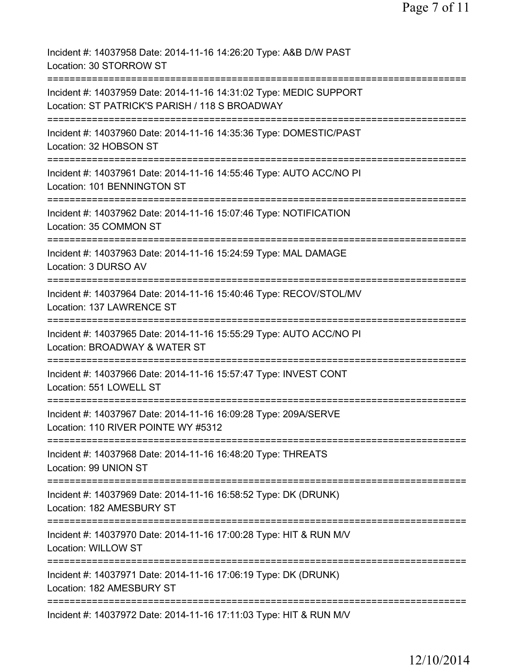Page 7 of 11

| Incident #: 14037958 Date: 2014-11-16 14:26:20 Type: A&B D/W PAST<br>Location: 30 STORROW ST                              |
|---------------------------------------------------------------------------------------------------------------------------|
| Incident #: 14037959 Date: 2014-11-16 14:31:02 Type: MEDIC SUPPORT<br>Location: ST PATRICK'S PARISH / 118 S BROADWAY      |
| =========================<br>Incident #: 14037960 Date: 2014-11-16 14:35:36 Type: DOMESTIC/PAST<br>Location: 32 HOBSON ST |
| Incident #: 14037961 Date: 2014-11-16 14:55:46 Type: AUTO ACC/NO PI<br>Location: 101 BENNINGTON ST                        |
| Incident #: 14037962 Date: 2014-11-16 15:07:46 Type: NOTIFICATION<br>Location: 35 COMMON ST                               |
| Incident #: 14037963 Date: 2014-11-16 15:24:59 Type: MAL DAMAGE<br>Location: 3 DURSO AV<br>-----------                    |
| Incident #: 14037964 Date: 2014-11-16 15:40:46 Type: RECOV/STOL/MV<br>Location: 137 LAWRENCE ST                           |
| Incident #: 14037965 Date: 2014-11-16 15:55:29 Type: AUTO ACC/NO PI<br>Location: BROADWAY & WATER ST                      |
| ==========<br>Incident #: 14037966 Date: 2014-11-16 15:57:47 Type: INVEST CONT<br>Location: 551 LOWELL ST                 |
| Incident #: 14037967 Date: 2014-11-16 16:09:28 Type: 209A/SERVE<br>Location: 110 RIVER POINTE WY #5312                    |
| Incident #: 14037968 Date: 2014-11-16 16:48:20 Type: THREATS<br>Location: 99 UNION ST                                     |
| Incident #: 14037969 Date: 2014-11-16 16:58:52 Type: DK (DRUNK)<br>Location: 182 AMESBURY ST                              |
| Incident #: 14037970 Date: 2014-11-16 17:00:28 Type: HIT & RUN M/V<br><b>Location: WILLOW ST</b>                          |
| Incident #: 14037971 Date: 2014-11-16 17:06:19 Type: DK (DRUNK)<br>Location: 182 AMESBURY ST                              |
| Incident #: 14037972 Date: 2014-11-16 17:11:03 Type: HIT & RUN M/V                                                        |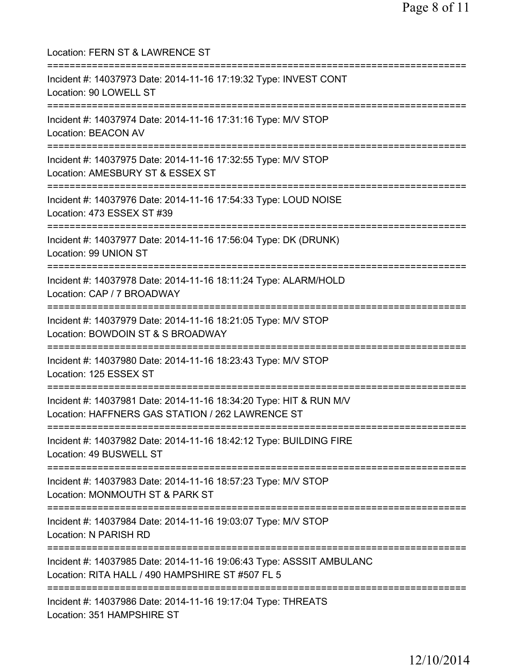Location: FERN ST & LAWRENCE ST =========================================================================== Incident #: 14037973 Date: 2014-11-16 17:19:32 Type: INVEST CONT Location: 90 LOWELL ST =========================================================================== Incident #: 14037974 Date: 2014-11-16 17:31:16 Type: M/V STOP Location: BEACON AV =========================================================================== Incident #: 14037975 Date: 2014-11-16 17:32:55 Type: M/V STOP Location: AMESBURY ST & ESSEX ST =========================================================================== Incident #: 14037976 Date: 2014-11-16 17:54:33 Type: LOUD NOISE Location: 473 ESSEX ST #39 =========================================================================== Incident #: 14037977 Date: 2014-11-16 17:56:04 Type: DK (DRUNK) Location: 99 UNION ST =========================================================================== Incident #: 14037978 Date: 2014-11-16 18:11:24 Type: ALARM/HOLD Location: CAP / 7 BROADWAY =========================================================================== Incident #: 14037979 Date: 2014-11-16 18:21:05 Type: M/V STOP Location: BOWDOIN ST & S BROADWAY =========================================================================== Incident #: 14037980 Date: 2014-11-16 18:23:43 Type: M/V STOP Location: 125 ESSEX ST =========================================================================== Incident #: 14037981 Date: 2014-11-16 18:34:20 Type: HIT & RUN M/V Location: HAFFNERS GAS STATION / 262 LAWRENCE ST =========================================================================== Incident #: 14037982 Date: 2014-11-16 18:42:12 Type: BUILDING FIRE Location: 49 BUSWELL ST =========================================================================== Incident #: 14037983 Date: 2014-11-16 18:57:23 Type: M/V STOP Location: MONMOUTH ST & PARK ST =========================================================================== Incident #: 14037984 Date: 2014-11-16 19:03:07 Type: M/V STOP Location: N PARISH RD =========================================================================== Incident #: 14037985 Date: 2014-11-16 19:06:43 Type: ASSSIT AMBULANC Location: RITA HALL / 490 HAMPSHIRE ST #507 FL 5 =========================================================================== Incident #: 14037986 Date: 2014-11-16 19:17:04 Type: THREATS Location: 351 HAMPSHIRE ST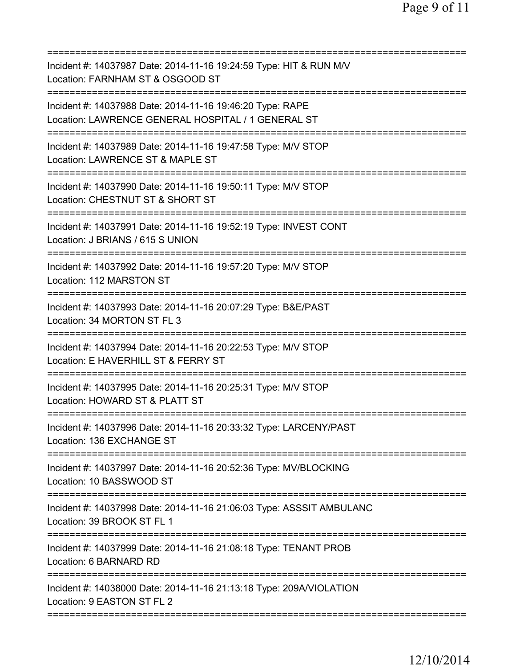| Incident #: 14037987 Date: 2014-11-16 19:24:59 Type: HIT & RUN M/V<br>Location: FARNHAM ST & OSGOOD ST                              |
|-------------------------------------------------------------------------------------------------------------------------------------|
| Incident #: 14037988 Date: 2014-11-16 19:46:20 Type: RAPE<br>Location: LAWRENCE GENERAL HOSPITAL / 1 GENERAL ST                     |
| Incident #: 14037989 Date: 2014-11-16 19:47:58 Type: M/V STOP<br>Location: LAWRENCE ST & MAPLE ST                                   |
| Incident #: 14037990 Date: 2014-11-16 19:50:11 Type: M/V STOP<br>Location: CHESTNUT ST & SHORT ST                                   |
| ===========================<br>Incident #: 14037991 Date: 2014-11-16 19:52:19 Type: INVEST CONT<br>Location: J BRIANS / 615 S UNION |
| ========================<br>Incident #: 14037992 Date: 2014-11-16 19:57:20 Type: M/V STOP<br>Location: 112 MARSTON ST               |
| Incident #: 14037993 Date: 2014-11-16 20:07:29 Type: B&E/PAST<br>Location: 34 MORTON ST FL 3                                        |
| Incident #: 14037994 Date: 2014-11-16 20:22:53 Type: M/V STOP<br>Location: E HAVERHILL ST & FERRY ST                                |
| Incident #: 14037995 Date: 2014-11-16 20:25:31 Type: M/V STOP<br>Location: HOWARD ST & PLATT ST                                     |
| Incident #: 14037996 Date: 2014-11-16 20:33:32 Type: LARCENY/PAST<br>Location: 136 EXCHANGE ST                                      |
| Incident #: 14037997 Date: 2014-11-16 20:52:36 Type: MV/BLOCKING<br>Location: 10 BASSWOOD ST                                        |
| Incident #: 14037998 Date: 2014-11-16 21:06:03 Type: ASSSIT AMBULANC<br>Location: 39 BROOK ST FL 1                                  |
| Incident #: 14037999 Date: 2014-11-16 21:08:18 Type: TENANT PROB<br>Location: 6 BARNARD RD                                          |
| Incident #: 14038000 Date: 2014-11-16 21:13:18 Type: 209A/VIOLATION<br>Location: 9 EASTON ST FL 2                                   |
|                                                                                                                                     |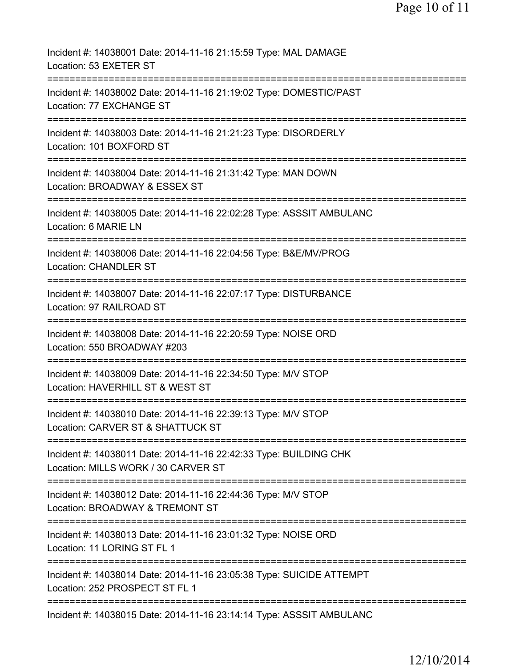| Incident #: 14038001 Date: 2014-11-16 21:15:59 Type: MAL DAMAGE<br>Location: 53 EXETER ST                                                  |
|--------------------------------------------------------------------------------------------------------------------------------------------|
| Incident #: 14038002 Date: 2014-11-16 21:19:02 Type: DOMESTIC/PAST<br>Location: 77 EXCHANGE ST                                             |
| Incident #: 14038003 Date: 2014-11-16 21:21:23 Type: DISORDERLY<br>Location: 101 BOXFORD ST                                                |
| Incident #: 14038004 Date: 2014-11-16 21:31:42 Type: MAN DOWN<br>Location: BROADWAY & ESSEX ST                                             |
| Incident #: 14038005 Date: 2014-11-16 22:02:28 Type: ASSSIT AMBULANC<br>Location: 6 MARIE LN                                               |
| ======================================<br>Incident #: 14038006 Date: 2014-11-16 22:04:56 Type: B&E/MV/PROG<br><b>Location: CHANDLER ST</b> |
| ====================================<br>Incident #: 14038007 Date: 2014-11-16 22:07:17 Type: DISTURBANCE<br>Location: 97 RAILROAD ST       |
| Incident #: 14038008 Date: 2014-11-16 22:20:59 Type: NOISE ORD<br>Location: 550 BROADWAY #203                                              |
| Incident #: 14038009 Date: 2014-11-16 22:34:50 Type: M/V STOP<br>Location: HAVERHILL ST & WEST ST                                          |
| Incident #: 14038010 Date: 2014-11-16 22:39:13 Type: M/V STOP<br>Location: CARVER ST & SHATTUCK ST                                         |
| Incident #: 14038011 Date: 2014-11-16 22:42:33 Type: BUILDING CHK<br>Location: MILLS WORK / 30 CARVER ST                                   |
| ===============================<br>Incident #: 14038012 Date: 2014-11-16 22:44:36 Type: M/V STOP<br>Location: BROADWAY & TREMONT ST        |
| Incident #: 14038013 Date: 2014-11-16 23:01:32 Type: NOISE ORD<br>Location: 11 LORING ST FL 1                                              |
| Incident #: 14038014 Date: 2014-11-16 23:05:38 Type: SUICIDE ATTEMPT<br>Location: 252 PROSPECT ST FL 1                                     |
| Incident #: 14038015 Date: 2014-11-16 23:14:14 Type: ASSSIT AMBULANC                                                                       |